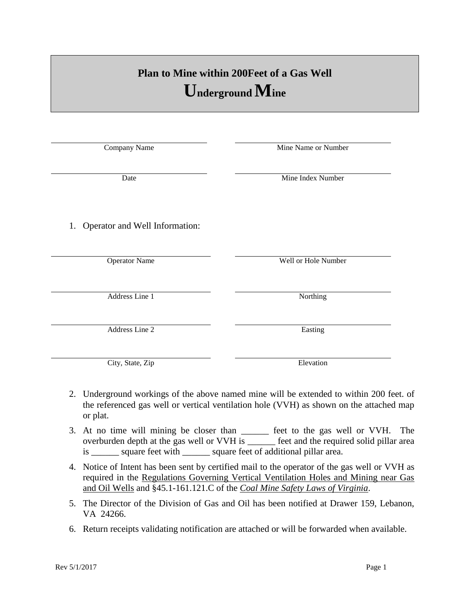## **Plan to Mine within 200Feet of a Gas Well Underground Mine**

Company Name Mine Name or Number

Date Mine Index Number 1. Operator and Well Information: Operator Name Well or Hole Number

Address Line 1 Northing

Address Line 2 Easting

City, State, Zip Elevation

Rev 5/1/2017 Page 1

- 2. Underground workings of the above named mine will be extended to within 200 feet. of the referenced gas well or vertical ventilation hole (VVH) as shown on the attached map or plat.
- 3. At no time will mining be closer than \_\_\_\_\_\_ feet to the gas well or VVH. The overburden depth at the gas well or VVH is \_\_\_\_\_\_ feet and the required solid pillar area is \_\_\_\_\_\_ square feet with \_\_\_\_\_\_ square feet of additional pillar area.
- 4. Notice of Intent has been sent by certified mail to the operator of the gas well or VVH as required in the Regulations Governing Vertical Ventilation Holes and Mining near Gas and Oil Wells and §45.1-161.121.C of the *Coal Mine Safety Laws of Virginia*.
- 5. The Director of the Division of Gas and Oil has been notified at Drawer 159, Lebanon, VA 24266.
- 6. Return receipts validating notification are attached or will be forwarded when available.